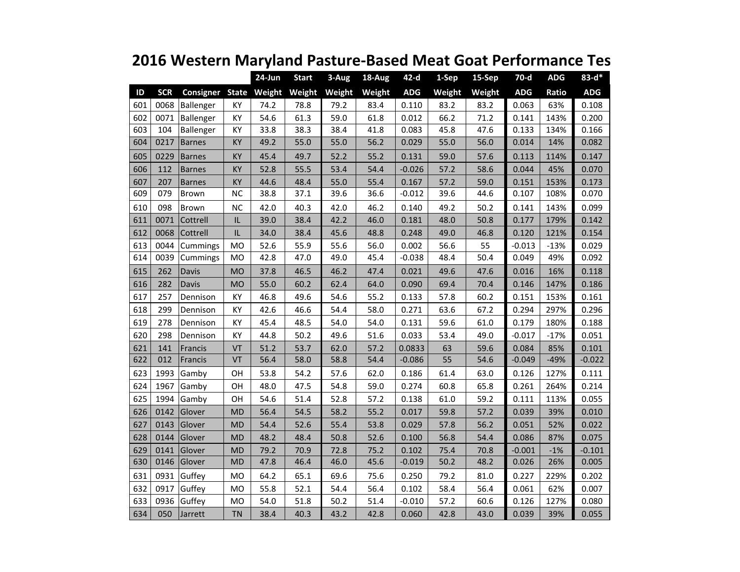|     |            |                  |           | $24$ -Jun    | <b>Start</b> | 3-Aug  | 18-Aug | $42-d$     | 1-Sep  | 15-Sep | $70-d$     | <b>ADG</b> | $83 - d*$  |
|-----|------------|------------------|-----------|--------------|--------------|--------|--------|------------|--------|--------|------------|------------|------------|
| ID  | <b>SCR</b> | <b>Consigner</b> |           | State Weight | Weight       | Weight | Weight | <b>ADG</b> | Weight | Weight | <b>ADG</b> | Ratio      | <b>ADG</b> |
| 601 | 0068       | Ballenger        | KY        | 74.2         | 78.8         | 79.2   | 83.4   | 0.110      | 83.2   | 83.2   | 0.063      | 63%        | 0.108      |
| 602 | 0071       | Ballenger        | КY        | 54.6         | 61.3         | 59.0   | 61.8   | 0.012      | 66.2   | 71.2   | 0.141      | 143%       | 0.200      |
| 603 | 104        | Ballenger        | KY        | 33.8         | 38.3         | 38.4   | 41.8   | 0.083      | 45.8   | 47.6   | 0.133      | 134%       | 0.166      |
| 604 | 0217       | <b>Barnes</b>    | KY        | 49.2         | 55.0         | 55.0   | 56.2   | 0.029      | 55.0   | 56.0   | 0.014      | 14%        | 0.082      |
| 605 | 0229       | <b>Barnes</b>    | ΚY        | 45.4         | 49.7         | 52.2   | 55.2   | 0.131      | 59.0   | 57.6   | 0.113      | 114%       | 0.147      |
| 606 | 112        | <b>Barnes</b>    | KY        | 52.8         | 55.5         | 53.4   | 54.4   | $-0.026$   | 57.2   | 58.6   | 0.044      | 45%        | 0.070      |
| 607 | 207        | <b>Barnes</b>    | KY        | 44.6         | 48.4         | 55.0   | 55.4   | 0.167      | 57.2   | 59.0   | 0.151      | 153%       | 0.173      |
| 609 | 079        | Brown            | <b>NC</b> | 38.8         | 37.1         | 39.6   | 36.6   | $-0.012$   | 39.6   | 44.6   | 0.107      | 108%       | 0.070      |
| 610 | 098        | Brown            | <b>NC</b> | 42.0         | 40.3         | 42.0   | 46.2   | 0.140      | 49.2   | 50.2   | 0.141      | 143%       | 0.099      |
| 611 | 0071       | Cottrell         | $\sf IL$  | 39.0         | 38.4         | 42.2   | 46.0   | 0.181      | 48.0   | 50.8   | 0.177      | 179%       | 0.142      |
| 612 | 0068       | Cottrell         | IL        | 34.0         | 38.4         | 45.6   | 48.8   | 0.248      | 49.0   | 46.8   | 0.120      | 121%       | 0.154      |
| 613 | 0044       | Cummings         | MO        | 52.6         | 55.9         | 55.6   | 56.0   | 0.002      | 56.6   | 55     | $-0.013$   | $-13%$     | 0.029      |
| 614 | 0039       | Cummings         | MO        | 42.8         | 47.0         | 49.0   | 45.4   | $-0.038$   | 48.4   | 50.4   | 0.049      | 49%        | 0.092      |
| 615 | 262        | Davis            | <b>MO</b> | 37.8         | 46.5         | 46.2   | 47.4   | 0.021      | 49.6   | 47.6   | 0.016      | 16%        | 0.118      |
| 616 | 282        | <b>Davis</b>     | <b>MO</b> | 55.0         | 60.2         | 62.4   | 64.0   | 0.090      | 69.4   | 70.4   | 0.146      | 147%       | 0.186      |
| 617 | 257        | Dennison         | KY        | 46.8         | 49.6         | 54.6   | 55.2   | 0.133      | 57.8   | 60.2   | 0.151      | 153%       | 0.161      |
| 618 | 299        | Dennison         | KY        | 42.6         | 46.6         | 54.4   | 58.0   | 0.271      | 63.6   | 67.2   | 0.294      | 297%       | 0.296      |
| 619 | 278        | Dennison         | KY        | 45.4         | 48.5         | 54.0   | 54.0   | 0.131      | 59.6   | 61.0   | 0.179      | 180%       | 0.188      |
| 620 | 298        | Dennison         | KY        | 44.8         | 50.2         | 49.6   | 51.6   | 0.033      | 53.4   | 49.0   | $-0.017$   | $-17%$     | 0.051      |
| 621 | 141        | Francis          | VT        | 51.2         | 53.7         | 62.0   | 57.2   | 0.0833     | 63     | 59.6   | 0.084      | 85%        | 0.101      |
| 622 | 012        | Francis          | VT        | 56.4         | 58.0         | 58.8   | 54.4   | $-0.086$   | 55     | 54.6   | $-0.049$   | $-49%$     | $-0.022$   |
| 623 | 1993       | Gamby            | OH        | 53.8         | 54.2         | 57.6   | 62.0   | 0.186      | 61.4   | 63.0   | 0.126      | 127%       | 0.111      |
| 624 | 1967       | Gamby            | OH        | 48.0         | 47.5         | 54.8   | 59.0   | 0.274      | 60.8   | 65.8   | 0.261      | 264%       | 0.214      |
| 625 | 1994       | Gamby            | OH        | 54.6         | 51.4         | 52.8   | 57.2   | 0.138      | 61.0   | 59.2   | 0.111      | 113%       | 0.055      |
| 626 | 0142       | Glover           | <b>MD</b> | 56.4         | 54.5         | 58.2   | 55.2   | 0.017      | 59.8   | 57.2   | 0.039      | 39%        | 0.010      |
| 627 | 0143       | Glover           | MD        | 54.4         | 52.6         | 55.4   | 53.8   | 0.029      | 57.8   | 56.2   | 0.051      | 52%        | 0.022      |
| 628 | 0144       | Glover           | <b>MD</b> | 48.2         | 48.4         | 50.8   | 52.6   | 0.100      | 56.8   | 54.4   | 0.086      | 87%        | 0.075      |
| 629 | 0141       | Glover           | <b>MD</b> | 79.2         | 70.9         | 72.8   | 75.2   | 0.102      | 75.4   | 70.8   | $-0.001$   | $-1%$      | $-0.101$   |
| 630 | 0146       | Glover           | MD        | 47.8         | 46.4         | 46.0   | 45.6   | $-0.019$   | 50.2   | 48.2   | 0.026      | 26%        | 0.005      |
| 631 | 0931       | Guffey           | MO        | 64.2         | 65.1         | 69.6   | 75.6   | 0.250      | 79.2   | 81.0   | 0.227      | 229%       | 0.202      |
| 632 | 0917       | Guffey           | MO        | 55.8         | 52.1         | 54.4   | 56.4   | 0.102      | 58.4   | 56.4   | 0.061      | 62%        | 0.007      |
| 633 | 0936       | Guffey           | MO        | 54.0         | 51.8         | 50.2   | 51.4   | $-0.010$   | 57.2   | 60.6   | 0.126      | 127%       | 0.080      |
| 634 | 050        | Jarrett          | TN        | 38.4         | 40.3         | 43.2   | 42.8   | 0.060      | 42.8   | 43.0   | 0.039      | 39%        | 0.055      |

## **2016 Western Maryland Pasture-Based Meat Goat Performance Tes**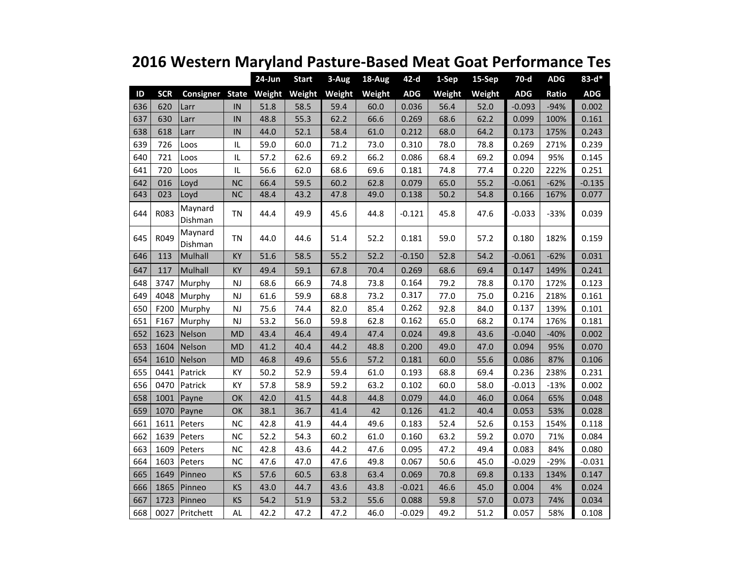|     |            |                               |           | $24$ -Jun | <b>Start</b> | 3-Aug  | 18-Aug | $42-d$     | 1-Sep  | 15-Sep | 70-d       | <b>ADG</b> | $83 - d*$  |
|-----|------------|-------------------------------|-----------|-----------|--------------|--------|--------|------------|--------|--------|------------|------------|------------|
| ID  | <b>SCR</b> | <b>Consigner State Weight</b> |           |           | Weight       | Weight | Weight | <b>ADG</b> | Weight | Weight | <b>ADG</b> | Ratio      | <b>ADG</b> |
| 636 | 620        | Larr                          | IN        | 51.8      | 58.5         | 59.4   | 60.0   | 0.036      | 56.4   | 52.0   | $-0.093$   | $-94%$     | 0.002      |
| 637 | 630        | Larr                          | IN        | 48.8      | 55.3         | 62.2   | 66.6   | 0.269      | 68.6   | 62.2   | 0.099      | 100%       | 0.161      |
| 638 | 618        | Larr                          | IN        | 44.0      | 52.1         | 58.4   | 61.0   | 0.212      | 68.0   | 64.2   | 0.173      | 175%       | 0.243      |
| 639 | 726        | Loos                          | IL        | 59.0      | 60.0         | 71.2   | 73.0   | 0.310      | 78.0   | 78.8   | 0.269      | 271%       | 0.239      |
| 640 | 721        | Loos                          | IL        | 57.2      | 62.6         | 69.2   | 66.2   | 0.086      | 68.4   | 69.2   | 0.094      | 95%        | 0.145      |
| 641 | 720        | Loos                          | IL.       | 56.6      | 62.0         | 68.6   | 69.6   | 0.181      | 74.8   | 77.4   | 0.220      | 222%       | 0.251      |
| 642 | 016        | Loyd                          | <b>NC</b> | 66.4      | 59.5         | 60.2   | 62.8   | 0.079      | 65.0   | 55.2   | $-0.061$   | $-62%$     | $-0.135$   |
| 643 | 023        | Loyd                          | <b>NC</b> | 48.4      | 43.2         | 47.8   | 49.0   | 0.138      | 50.2   | 54.8   | 0.166      | 167%       | 0.077      |
| 644 | R083       | Maynard<br>Dishman            | <b>TN</b> | 44.4      | 49.9         | 45.6   | 44.8   | $-0.121$   | 45.8   | 47.6   | $-0.033$   | $-33%$     | 0.039      |
| 645 | R049       | Maynard<br>Dishman            | <b>TN</b> | 44.0      | 44.6         | 51.4   | 52.2   | 0.181      | 59.0   | 57.2   | 0.180      | 182%       | 0.159      |
| 646 | 113        | Mulhall                       | KY        | 51.6      | 58.5         | 55.2   | 52.2   | $-0.150$   | 52.8   | 54.2   | $-0.061$   | $-62%$     | 0.031      |
| 647 | 117        | Mulhall                       | KY        | 49.4      | 59.1         | 67.8   | 70.4   | 0.269      | 68.6   | 69.4   | 0.147      | 149%       | 0.241      |
| 648 | 3747       | Murphy                        | NJ        | 68.6      | 66.9         | 74.8   | 73.8   | 0.164      | 79.2   | 78.8   | 0.170      | 172%       | 0.123      |
| 649 | 4048       | Murphy                        | <b>NJ</b> | 61.6      | 59.9         | 68.8   | 73.2   | 0.317      | 77.0   | 75.0   | 0.216      | 218%       | 0.161      |
| 650 | F200       | Murphy                        | NJ        | 75.6      | 74.4         | 82.0   | 85.4   | 0.262      | 92.8   | 84.0   | 0.137      | 139%       | 0.101      |
| 651 | F167       | Murphy                        | <b>NJ</b> | 53.2      | 56.0         | 59.8   | 62.8   | 0.162      | 65.0   | 68.2   | 0.174      | 176%       | 0.181      |
| 652 | 1623       | Nelson                        | <b>MD</b> | 43.4      | 46.4         | 49.4   | 47.4   | 0.024      | 49.8   | 43.6   | $-0.040$   | $-40%$     | 0.002      |
| 653 | 1604       | Nelson                        | <b>MD</b> | 41.2      | 40.4         | 44.2   | 48.8   | 0.200      | 49.0   | 47.0   | 0.094      | 95%        | 0.070      |
| 654 | 1610       | Nelson                        | <b>MD</b> | 46.8      | 49.6         | 55.6   | 57.2   | 0.181      | 60.0   | 55.6   | 0.086      | 87%        | 0.106      |
| 655 | 0441       | Patrick                       | КY        | 50.2      | 52.9         | 59.4   | 61.0   | 0.193      | 68.8   | 69.4   | 0.236      | 238%       | 0.231      |
| 656 | 0470       | Patrick                       | KY        | 57.8      | 58.9         | 59.2   | 63.2   | 0.102      | 60.0   | 58.0   | $-0.013$   | $-13%$     | 0.002      |
| 658 | 1001       | Payne                         | OK        | 42.0      | 41.5         | 44.8   | 44.8   | 0.079      | 44.0   | 46.0   | 0.064      | 65%        | 0.048      |
| 659 | 1070       | Payne                         | OK        | 38.1      | 36.7         | 41.4   | 42     | 0.126      | 41.2   | 40.4   | 0.053      | 53%        | 0.028      |
| 661 | 1611       | Peters                        | $NC$      | 42.8      | 41.9         | 44.4   | 49.6   | 0.183      | 52.4   | 52.6   | 0.153      | 154%       | 0.118      |
| 662 | 1639       | Peters                        | NC        | 52.2      | 54.3         | 60.2   | 61.0   | 0.160      | 63.2   | 59.2   | 0.070      | 71%        | 0.084      |
| 663 | 1609       | Peters                        | $NC$      | 42.8      | 43.6         | 44.2   | 47.6   | 0.095      | 47.2   | 49.4   | 0.083      | 84%        | 0.080      |
| 664 | 1603       | Peters                        | NC        | 47.6      | 47.0         | 47.6   | 49.8   | 0.067      | 50.6   | 45.0   | $-0.029$   | $-29%$     | $-0.031$   |
| 665 | 1649       | Pinneo                        | KS        | 57.6      | 60.5         | 63.8   | 63.4   | 0.069      | 70.8   | 69.8   | 0.133      | 134%       | 0.147      |
| 666 | 1865       | Pinneo                        | KS        | 43.0      | 44.7         | 43.6   | 43.8   | $-0.021$   | 46.6   | 45.0   | 0.004      | 4%         | 0.024      |
| 667 | 1723       | Pinneo                        | KS        | 54.2      | 51.9         | 53.2   | 55.6   | 0.088      | 59.8   | 57.0   | 0.073      | 74%        | 0.034      |
| 668 | 0027       | Pritchett                     | AL        | 42.2      | 47.2         | 47.2   | 46.0   | $-0.029$   | 49.2   | 51.2   | 0.057      | 58%        | 0.108      |

## **2016 Western Maryland Pasture-Based Meat Goat Performance Tes**